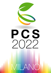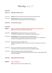# Monday, July 11<sup>th</sup>

| 10.00-12.30       |                                                                                                                                                                                                                              |
|-------------------|------------------------------------------------------------------------------------------------------------------------------------------------------------------------------------------------------------------------------|
| 10.00-11.15       | <b>Registration and Poster set up</b>                                                                                                                                                                                        |
|                   |                                                                                                                                                                                                                              |
| 11.15-11.30       | Welcome: Alex Costa and Maria Cristina Bonza (University of Milan, Italy)                                                                                                                                                    |
| 11.30-12.30       | Keynote Lecture: Tullio Pozzan (Univerisity of Padova, Italy)<br>Temporal and spatial heterogeneity of second messenger levels                                                                                               |
| 12.30-14.30       | <b>Lunch and Poster viewing</b>                                                                                                                                                                                              |
| 14.30-19.00       |                                                                                                                                                                                                                              |
| <b>SESSION 1:</b> | <b>Channels, Transporters and Regulators of Calcium Movement Across Membranes</b><br>Chair: Maria Cristina Bonza (University of Milan, Italy)                                                                                |
| 14.30-15.00       | Invited speaker: Zhenming Pei (Duke University, Durham, USA)<br>$Ca2+$ genetics: identification of $Ca2+$ -mediated stress sensing components                                                                                |
| 15.00-15.30       | Invited speaker: Rainer Hedrich (University Würzburg, Germany)<br>A unique inventory of ion transporters poises the Venus flytrap to touch- and glutamate-<br>provoked, fast-propagating action potentials and calcium waves |
| 15.30-15.50       | Matteo Grenzi (University of Milan, Italy)<br>The ligand binding domain of GLR3.3 is required for both local and systemic cytosolic $Ca^{2+}$<br>increase                                                                    |
| 15.50-16.10       | Réjane Carron (Max Planck Institute for Plant Breeding, Germany)<br>A novel family of environmental sensor channels in Arabidopsis thaliana                                                                                  |
| 16.10-16.30       | Karthik Ramanadane (University of Zurich, Switzerland)<br>Structural and functional basis for high affinity calcium transport by a plant NRAMP-related<br>aluminum transporter                                               |
| 16.30-16.50       | <b>Coffee Break and Poster viewing</b>                                                                                                                                                                                       |

### **SESSION 2: Calcium in Organelles**

**Chair:** Lorella Navazio *(University of Padova, Italy)*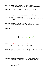| 16.50-17.20 | Invited speaker: Ildiko Szabò (University of Padova, Italy)<br>The relevance of chloroplast calcium dynamics for plant response to stress                  |
|-------------|------------------------------------------------------------------------------------------------------------------------------------------------------------|
| 17.20-17.50 | Myriam Charpentier (John Innes Centre, Norwich, United Kingdom)<br>Modulator of nuclear calcium signaling in root legume symbioses                         |
| 17.50-18.10 | Markus Schwarzländer (University of Münster, Germany)<br>MCU proteins dominate plant mitochondrial Ca <sup>2+</sup> uptake in vivo                         |
| 18.10-18.30 | Barkha Ravi (University of Delhi, India)<br>A calcium signalling kinase, CIPK9 targets and regulates VDAC3 in oxidative stress responses<br>in Arabidopsis |
| 18.30-18.50 | Rob Roelfsema (University of Würzburg, Germany)<br>A Ca <sup>2+</sup> -homeostat operates in the vacuolar membrane of root hair cells                      |

**19.00-20.30** *Welcome party*

# Tuesday, July 12th

### **09.00-12.30**

| <b>SESSION 3:</b> | <b>Decoding Calcium Signals: Sensors and Effectors</b>                                                                                                                       |
|-------------------|------------------------------------------------------------------------------------------------------------------------------------------------------------------------------|
|                   | <b>Chair:</b> Alessandra Astegno (University of Verona, Italy)                                                                                                               |
| 09.00-09.30       | <b>Invited speaker:</b> Colin Brownlee (University of Southampton, United Kingdom)<br>Generation and interpretation of calcium signals in unicellular algae                  |
| 09.30-10.00       | Wayne Snedden (Queen's University, Canada)<br>Identification and characterization of Arabidopsis CML targets                                                                 |
| 10.00-10.20       | Katharina Bürstenbinder (Leibniz Institute of Plant Biochemistry, Germany)<br>Orchestration of calcium signaling at the microtubule-membrane nexus                           |
| 10.20-10.40       | Anja Liese (Leibniz Institute of Plant Biochemistry, Germany)<br>Imaging of Arabidopsis calcium-sensor kinase conformation monitors real time activation<br>dynamics in vivo |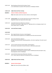- 10.40-11.00 Marie Boudsocq *(University Paris-Saclay, France) In vivo* identification of putative CPK5 substrates in *Arabidopsis thaliana*
- **11.00-11.30** *Coffee Break and Poster viewing*
- **SESSION 4: Calcium in Abiotic and Biotic Responses Chair:** Dale Sanders *(John Innes Centre, Norwich, United Kingdom)*
- 11.30--12.00 **Invited speaker:** Guo Yan *(China Agricultural University, Beijing, China)* Regulation of plant salt response by calcium signal
- 12.00-12.30 Joerg Kudla *(University of Muenster, Germany)* Formation and function of oligo-cellular  $Ca<sup>2+</sup>$  signaling centers as emerging concept in iondriven organ-scale  $Ca<sup>2+</sup>$  signaling
- **12.30-14.20** *Lunch and Poster viewing*

### **14.20-19.00**

- 14.20-14.40 Marc Knight *(Durham University, United Kingdom)* Stress induced calcium signatures are modified by the clock and environment
- 14.40-15.00 Simon Stael *(VIB-UGent, Belgium)* Damage-activated proteolysis, signaling peptides, and calcium signaling in the plant wound response
- 15.00-15.20 Connor Tansley *(University of East Anglia, United Kingdom)* Salt sensitive: conservation of ancient functions in *Marchantia polymorpha*
- 15.20-15.40 Shruti Mishra *(Jawaharlal Nehru University, India)* Identification of novel gene(s) involved in calcium mediated jasmonate perception using forward genetic screen in Arabidopsis
- 15.40-16.00 *Leonie Steinhorst (University of Muenster, Germany)* A  $Ca<sup>2+</sup>$  sensor switch for tolerance to elevated salt stress in Arabidopsis
- **16.00-16.30** *Coffee Break and Poster viewing*

### **SESSION 5: Systemic Calcium Signals**

**Chair:** Alex Costa *(University of Milano, Italy)*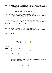| 16.30-17.00 | Invited speaker: Mitsuyasu Hasebe (National Institute for Basic Biology, Okazaki, Japan)<br>Cytosolic calcium ion dynamics in the sensitive plant, the Venus flytrap, and the sundew by<br>mechanical stimuli |
|-------------|---------------------------------------------------------------------------------------------------------------------------------------------------------------------------------------------------------------|
| 17.00-17.30 | <b>Invited speaker:</b> Edward Farmer (University Lausanne, Switzerland)<br>ACA pumps maintain leaf excitability during herbivory                                                                             |
| 17.30-17.50 | Deirdre McLachlan (University of Bristol, United Kingdom)<br>Calcium channels specifically mediating long distance signalling across the leaf lamina are<br>shared between biotic and abiotic stresses        |
| 17.50-18.10 | Michael M. Wudick (Heinrich-Heine-University, Düsseldorf, Germany)<br>The mechanosensitive ion channel msl10 functions in systemic wound signaling in plants                                                  |
| 18.10-18.30 | Eleni Stavrinidou (Linköping University, Sweeden)<br>Organic bioelectronics for high resolution plant electrophysiology                                                                                       |
| 18.30-18.50 | Annalisa Bellandi (John Innes Centre, Norwich, United Kingdom)<br>Apoplastic diffusion and bulk flow of amino acids mediate calcium waves transmission                                                        |

**19.10** *Free Dinner*

# Wednesday, July 13th

| 9.00-12.30        |                                                                                                                                                                                                                      |
|-------------------|----------------------------------------------------------------------------------------------------------------------------------------------------------------------------------------------------------------------|
| <b>SESSION 6:</b> | <b>Calcium Signaling in Single Cell Systems</b>                                                                                                                                                                      |
|                   | <b>Chair:</b> Michela Zottini (University of Padova, Italy)                                                                                                                                                          |
| 09.00-09.30       | Josè Feijo (University of Maryland, USA)<br>Molecular mechanims of regulation and ion selectivity of Plant Glutamate-receptors                                                                                       |
| 09.30-09.50       | Matteo Pivato (University of Verona, Italy)<br>Compartment-specific Ca <sup>2+</sup> imaging in the green alga <i>Chlamydomonas reinhardtii</i> reveals<br>high light-induced plastidial Ca <sup>2+</sup> signatures |
| 09.50-10.10       | Shouguang Huang (University of Würzburg, Germany)<br>Remote control of the watergate with $Ca2+$ signals                                                                                                             |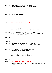- 10.10-10.30 Galina Shevchenko *(Institute of Botany, NAS, Ukraine)* Calcium gradient of beta root hairs is changed during clinorotation
- 10.30-10.50 Eleanor A. Murphy *(University of Bristol, United Kingdom)* Cellular stress signalling in marine diatoms

**10.50-11.30** *Coffee Break and Poster viewing*

### **SESSION 7: Calcium Cross-talk with Other Second Messengers**

**Chair:** Elodie Vandelle *(University of Verona, Italy)*

- 11.30--12.00 **Invited speaker:** Cyril Zipfel *(University of Zurich, Switzerland)* Chasing calcium-permeable channels involved in plant cell-surface immunity
- 12.00-12.30 Tina Romeis *(Leibniz-Institut für Pflanzenbiochemie, Germany)* Regulation and function of calcium-dependent protein kinases as decoders of calcium changes during stress signalling in plants
- **12.30-14.30** *Lunch and Poster viewing*

### **14.30-15.30**

- 14.30-14.50 Elisa Dell'Aglio *(University of Grenoble, CNRS, CEA; INRAE, France)* Arabidopsis NAD kinase c (NADKc) represents a missing link between Ca<sup>2+</sup> signaling, metabolism, and plant stress response
- 14.50-15.10 Ute C. Vothknecht *(IZMB, University of Bonn, Bonn, Germany)* Calcium signalling in stress responses of barley
- 15.10-15.30 *Elide Formentin (University of Padova, Italy)* ROS and  $Ca^{2+}$  interplay in inducing salt tolerance in rice

### **15.30-18.20**

### **SESSION 8: Calcium Signaling in Plant Metabolism & Nutrition**

**Chairs:** Doron Shkolnik *(The Hebrew University of Jerusalem, Israel)* and Andrea Genre *(University of Torino, Italy)*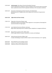- 15.30-16.00 **Invited speaker:** Petra Bauer *(University Düsseldorf, Germany)* Calcium signaling links Fe deficiency response regulation events with the bHLH transcription factor cascade and control of the Fe acquisition machinery in the root plasma membrane
- 16.00-16.20 Chrysoula K. Pantazopoulou *(Utrecht University, The Netherlands)* Mechanodetection of neighbor plants elicits adaptive leaf movements through calcium dynamics

### **16.20-17.00** *Coffee Break and Poster viewing*

- 17.00-17.20 Filippo Binci *(University of Padova, Italy)* Quantitative analyses of intracellular calcium signatures in Lotus japonicus disentangle the early discrimination of fungal signals
- 17.20-17.40 Lukas Wallrad *(University of Münster, Germany)* Oligo-cellular long-lasting calcium oscillations govern adaptation to manganese deficiency
- 17.40-18.00 Manuel Nieves-Cordones *(CSIC, CEBAS, Spain)* CIPK23 targets different transport mechanisms in tomato and Arabidopsis
- 18.00-18.20 Stefano Buratti *(University of Milan, Italy)* A simple methodology to study the effects of plant nutrient homeostasis on  $Ca<sup>2+</sup>$  signaling
- **18.20-18.45** *Poster/Talk Prize and concluding remarks*
- **19.30-23.00** *Conference Dinner @ Orto Botanico Brera*